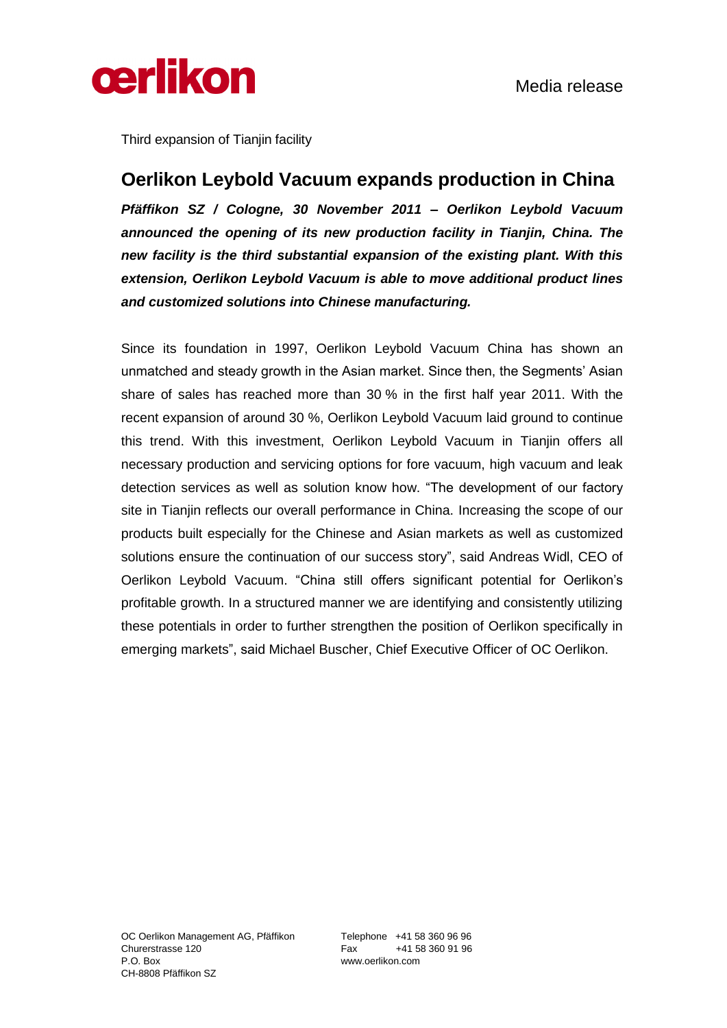

Third expansion of Tianjin facility

## **Oerlikon Leybold Vacuum expands production in China**

*Pfäffikon SZ / Cologne, 30 November 2011 – Oerlikon Leybold Vacuum announced the opening of its new production facility in Tianjin, China. The new facility is the third substantial expansion of the existing plant. With this extension, Oerlikon Leybold Vacuum is able to move additional product lines and customized solutions into Chinese manufacturing.* 

Since its foundation in 1997, Oerlikon Leybold Vacuum China has shown an unmatched and steady growth in the Asian market. Since then, the Segments' Asian share of sales has reached more than 30 % in the first half year 2011. With the recent expansion of around 30 %, Oerlikon Leybold Vacuum laid ground to continue this trend. With this investment, Oerlikon Leybold Vacuum in Tianjin offers all necessary production and servicing options for fore vacuum, high vacuum and leak detection services as well as solution know how. "The development of our factory site in Tianjin reflects our overall performance in China. Increasing the scope of our products built especially for the Chinese and Asian markets as well as customized solutions ensure the continuation of our success story", said Andreas Widl, CEO of Oerlikon Leybold Vacuum. "China still offers significant potential for Oerlikon's profitable growth. In a structured manner we are identifying and consistently utilizing these potentials in order to further strengthen the position of Oerlikon specifically in emerging markets", said Michael Buscher, Chief Executive Officer of OC Oerlikon.